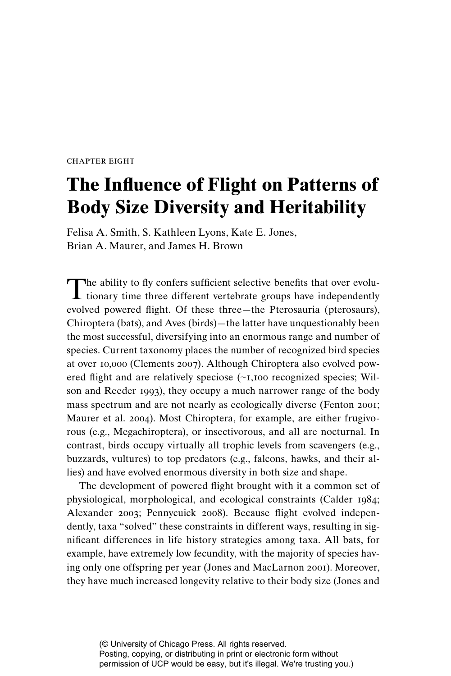chapter eight

# **The Influence of Flight on Patterns of Body Size Diversity and Heritability**

Felisa A. Smith, S. Kathleen Lyons, Kate E. Jones, Brian A. Maurer, and James H. Brown

The ability to fly confers sufficient selective benefits that over evolutionary time three different vertebrate groups have independently evolved powered flight. Of these three—the Pterosauria (pterosaurs), Chiroptera (bats), and Aves (birds)—the latter have unquestionably been the most successful, diversifying into an enormous range and number of species. Current taxonomy places the number of recognized bird species at over 10,000 (Clements 2007). Although Chiroptera also evolved powered flight and are relatively speciose (∼1,100 recognized species; Wilson and Reeder 1993), they occupy a much narrower range of the body mass spectrum and are not nearly as ecologically diverse (Fenton 2001; Maurer et al. 2004). Most Chiroptera, for example, are either frugivorous (e.g., Megachiroptera), or insectivorous, and all are nocturnal. In contrast, birds occupy virtually all trophic levels from scavengers (e.g., buzzards, vultures) to top predators (e.g., falcons, hawks, and their allies) and have evolved enormous diversity in both size and shape.

The development of powered flight brought with it a common set of physiological, morphological, and ecological constraints (Calder 1984; Alexander 2003; Pennycuick 2008). Because flight evolved independently, taxa "solved" these constraints in different ways, resulting in significant differences in life history strategies among taxa. All bats, for example, have extremely low fecundity, with the majority of species having only one offspring per year (Jones and MacLarnon 2001). Moreover, they have much increased longevity relative to their body size (Jones and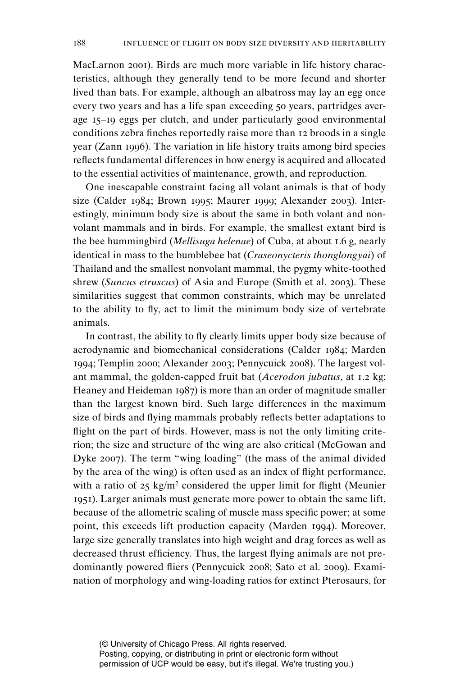MacLarnon 2001). Birds are much more variable in life history characteristics, although they generally tend to be more fecund and shorter lived than bats. For example, although an albatross may lay an egg once every two years and has a life span exceeding 50 years, partridges average 15–19 eggs per clutch, and under particularly good environmental conditions zebra finches reportedly raise more than 12 broods in a single year (Zann 1996). The variation in life history traits among bird species reflects fundamental differences in how energy is acquired and allocated to the essential activities of maintenance, growth, and reproduction.

One inescapable constraint facing all volant animals is that of body size (Calder 1984; Brown 1995; Maurer 1999; Alexander 2003). Interestingly, minimum body size is about the same in both volant and nonvolant mammals and in birds. For example, the smallest extant bird is the bee hummingbird (*Mellisuga helenae*) of Cuba, at about 1.6 g, nearly identical in mass to the bumblebee bat (*Craseonycteris thonglongyai*) of Thailand and the smallest nonvolant mammal, the pygmy white-toothed shrew (*Suncus etruscus*) of Asia and Europe (Smith et al. 2003). These similarities suggest that common constraints, which may be unrelated to the ability to fly, act to limit the minimum body size of vertebrate animals.

In contrast, the ability to fly clearly limits upper body size because of aerodynamic and biomechanical considerations (Calder 1984; Marden 1994; Templin 2000; Alexander 2003; Pennycuick 2008). The largest volant mammal, the golden-capped fruit bat (*Acerodon jubatus*, at 1.2 kg; Heaney and Heideman 1987) is more than an order of magnitude smaller than the largest known bird. Such large differences in the maximum size of birds and flying mammals probably reflects better adaptations to flight on the part of birds. However, mass is not the only limiting criterion; the size and structure of the wing are also critical (McGowan and Dyke 2007). The term "wing loading" (the mass of the animal divided by the area of the wing) is often used as an index of flight performance, with a ratio of  $25 \text{ kg/m}^2$  considered the upper limit for flight (Meunier 1951). Larger animals must generate more power to obtain the same lift, because of the allometric scaling of muscle mass specific power; at some point, this exceeds lift production capacity (Marden 1994). Moreover, large size generally translates into high weight and drag forces as well as decreased thrust efficiency. Thus, the largest flying animals are not predominantly powered fliers (Pennycuick 2008; Sato et al. 2009). Examination of morphology and wing-loading ratios for extinct Pterosaurs, for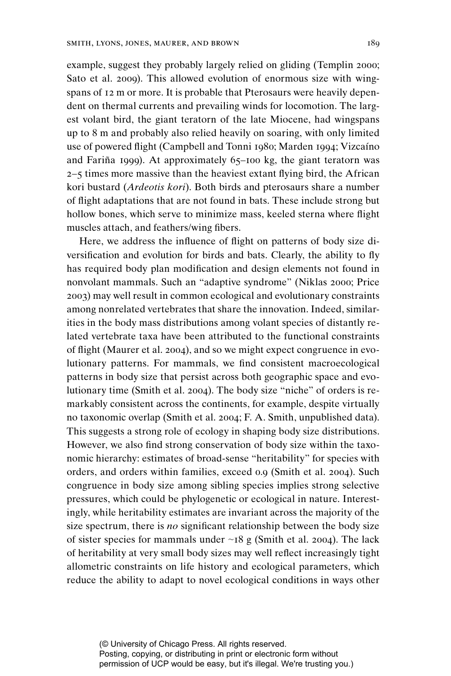example, suggest they probably largely relied on gliding (Templin 2000; Sato et al. 2009). This allowed evolution of enormous size with wingspans of 12 m or more. It is probable that Pterosaurs were heavily dependent on thermal currents and prevailing winds for locomotion. The largest volant bird, the giant teratorn of the late Miocene, had wingspans up to 8 m and probably also relied heavily on soaring, with only limited use of powered flight (Campbell and Tonni 1980; Marden 1994; Vizcaíno and Fariña 1999). At approximately 65–100 kg, the giant teratorn was  $2-5$  times more massive than the heaviest extant flying bird, the African kori bustard (*Ardeotis kori*). Both birds and pterosaurs share a number of flight adaptations that are not found in bats. These include strong but hollow bones, which serve to minimize mass, keeled sterna where flight muscles attach, and feathers/wing fibers.

Here, we address the influence of flight on patterns of body size diversification and evolution for birds and bats. Clearly, the ability to fly has required body plan modification and design elements not found in nonvolant mammals. Such an "adaptive syndrome" (Niklas 2000; Price 2003) may well result in common ecological and evolutionary constraints among nonrelated vertebrates that share the innovation. Indeed, similarities in the body mass distributions among volant species of distantly related vertebrate taxa have been attributed to the functional constraints of flight (Maurer et al. 2004), and so we might expect congruence in evolutionary patterns. For mammals, we find consistent macroecological patterns in body size that persist across both geographic space and evolutionary time (Smith et al. 2004). The body size "niche" of orders is remarkably consistent across the continents, for example, despite virtually no taxonomic overlap (Smith et al. 2004; F. A. Smith, unpublished data). This suggests a strong role of ecology in shaping body size distributions. However, we also find strong conservation of body size within the taxonomic hierarchy: estimates of broad-sense "heritability" for species with orders, and orders within families, exceed 0.9 (Smith et al. 2004). Such congruence in body size among sibling species implies strong selective pressures, which could be phylogenetic or ecological in nature. Interestingly, while heritability estimates are invariant across the majority of the size spectrum, there is  $no$  significant relationship between the body size of sister species for mammals under ∼18 g (Smith et al. 2004). The lack of heritability at very small body sizes may well reflect increasingly tight allometric constraints on life history and ecological parameters, which reduce the ability to adapt to novel ecological conditions in ways other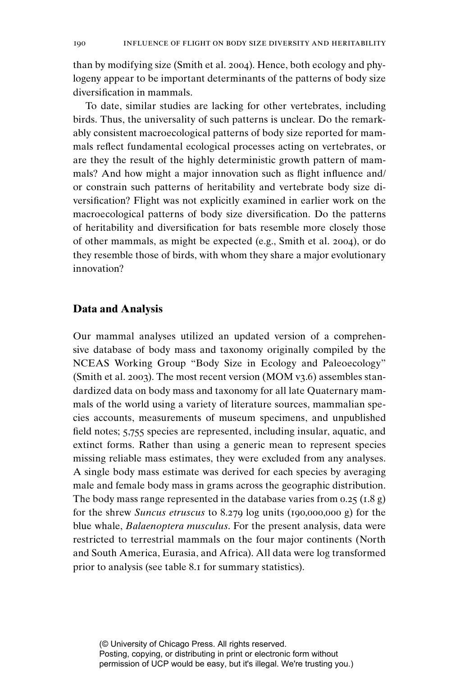than by modifying size (Smith et al. 2004). Hence, both ecology and phylogeny appear to be important determinants of the patterns of body size diversification in mammals.

To date, similar studies are lacking for other vertebrates, including birds. Thus, the universality of such patterns is unclear. Do the remarkably consistent macroecological patterns of body size reported for mammals reflect fundamental ecological processes acting on vertebrates, or are they the result of the highly deterministic growth pattern of mammals? And how might a major innovation such as flight influence and/ or constrain such patterns of heritability and vertebrate body size diversification? Flight was not explicitly examined in earlier work on the macroecological patterns of body size diversification. Do the patterns of heritability and diversification for bats resemble more closely those of other mammals, as might be expected (e.g., Smith et al. 2004), or do they resemble those of birds, with whom they share a major evolutionary innovation?

## **Data and Analysis**

Our mammal analyses utilized an updated version of a comprehensive database of body mass and taxonomy originally compiled by the NCEAS Working Group "Body Size in Ecology and Paleoecology" (Smith et al. 2003). The most recent version (MOM v3.6) assembles standardized data on body mass and taxonomy for all late Quaternary mammals of the world using a variety of literature sources, mammalian species accounts, measurements of museum specimens, and unpublished field notes; 5,755 species are represented, including insular, aquatic, and extinct forms. Rather than using a generic mean to represent species missing reliable mass estimates, they were excluded from any analyses. A single body mass estimate was derived for each species by averaging male and female body mass in grams across the geographic distribution. The body mass range represented in the database varies from 0.25 (1.8 g) for the shrew *Suncus etruscus* to 8.279 log units (190,000,000 g) for the blue whale, *Balaenoptera musculus*. For the present analysis, data were restricted to terrestrial mammals on the four major continents (North and South America, Eurasia, and Africa). All data were log transformed prior to analysis (see table 8.1 for summary statistics).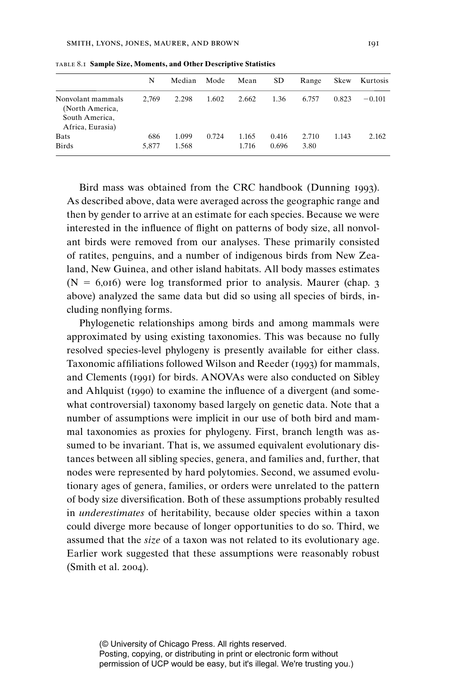|                                                                            | N            | Median         | Mode  | Mean           | <b>SD</b>      | Range         | Skew  | Kurtosis |
|----------------------------------------------------------------------------|--------------|----------------|-------|----------------|----------------|---------------|-------|----------|
| Nonvolant mammals<br>(North America,<br>South America,<br>Africa, Eurasia) | 2.769        | 2.298          | 1.602 | 2.662          | 1.36           | 6.757         | 0.823 | $-0.101$ |
| <b>Bats</b><br><b>Birds</b>                                                | 686<br>5.877 | 1.099<br>1.568 | 0.724 | 1.165<br>1.716 | 0.416<br>0.696 | 2.710<br>3.80 | 1.143 | 2.162    |

table 8.1 **Sample Size, Moments, and Other Descriptive Statistics**

Bird mass was obtained from the CRC handbook (Dunning 1993). As described above, data were averaged across the geographic range and then by gender to arrive at an estimate for each species. Because we were interested in the influence of flight on patterns of body size, all nonvolant birds were removed from our analyses. These primarily consisted of ratites, penguins, and a number of indigenous birds from New Zealand, New Guinea, and other island habitats. All body masses estimates  $(N = 6,016)$  were log transformed prior to analysis. Maurer (chap. 3) above) analyzed the same data but did so using all species of birds, including nonflying forms.

Phylogenetic relationships among birds and among mammals were approximated by using existing taxonomies. This was because no fully resolved species-level phylogeny is presently available for either class. Taxonomic affiliations followed Wilson and Reeder (1993) for mammals, and Clements (1991) for birds. ANOVAs were also conducted on Sibley and Ahlquist (1990) to examine the influence of a divergent (and somewhat controversial) taxonomy based largely on genetic data. Note that a number of assumptions were implicit in our use of both bird and mammal taxonomies as proxies for phylogeny. First, branch length was assumed to be invariant. That is, we assumed equivalent evolutionary distances between all sibling species, genera, and families and, further, that nodes were represented by hard polytomies. Second, we assumed evolutionary ages of genera, families, or orders were unrelated to the pattern of body size diversification. Both of these assumptions probably resulted in *underestimates* of heritability, because older species within a taxon could diverge more because of longer opportunities to do so. Third, we assumed that the *size* of a taxon was not related to its evolutionary age. Earlier work suggested that these assumptions were reasonably robust (Smith et al. 2004).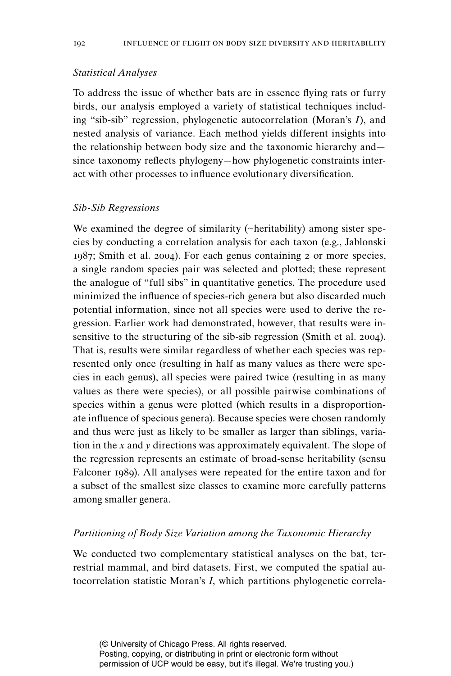# *Statistical Analyses*

To address the issue of whether bats are in essence flying rats or furry birds, our analysis employed a variety of statistical techniques including "sib-sib" regression, phylogenetic autocorrelation (Moran's *I*), and nested analysis of variance. Each method yields different insights into the relationship between body size and the taxonomic hierarchy and since taxonomy reflects phylogeny—how phylogenetic constraints interact with other processes to influence evolutionary diversification.

## *Sib-Sib Regressions*

We examined the degree of similarity (∼heritability) among sister species by conducting a correlation analysis for each taxon (e.g., Jablonski 1987; Smith et al. 2004). For each genus containing 2 or more species, a single random species pair was selected and plotted; these represent the analogue of "full sibs" in quantitative genetics. The procedure used minimized the influence of species-rich genera but also discarded much potential information, since not all species were used to derive the regression. Earlier work had demonstrated, however, that results were insensitive to the structuring of the sib-sib regression (Smith et al. 2004). That is, results were similar regardless of whether each species was represented only once (resulting in half as many values as there were species in each genus), all species were paired twice (resulting in as many values as there were species), or all possible pairwise combinations of species within a genus were plotted (which results in a disproportionate influence of specious genera). Because species were chosen randomly and thus were just as likely to be smaller as larger than siblings, variation in the *x* and *y* directions was approximately equivalent. The slope of the regression represents an estimate of broad-sense heritability (sensu Falconer 1989). All analyses were repeated for the entire taxon and for a subset of the smallest size classes to examine more carefully patterns among smaller genera.

#### *Partitioning of Body Size Variation among the Taxonomic Hierarchy*

We conducted two complementary statistical analyses on the bat, terrestrial mammal, and bird datasets. First, we computed the spatial autocorrelation statistic Moran's *I*, which partitions phylogenetic correla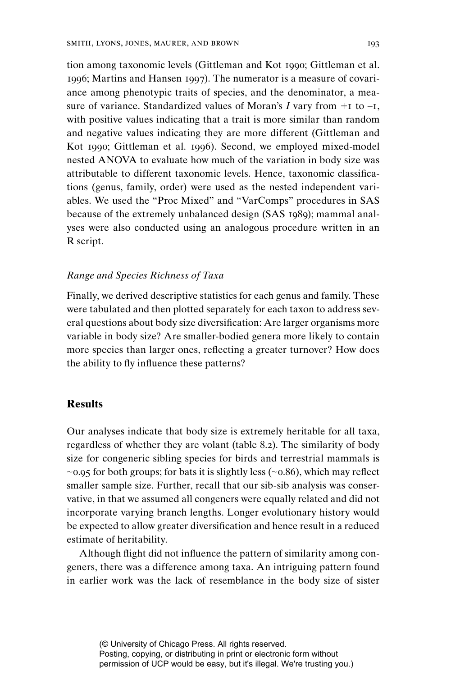tion among taxonomic levels (Gittleman and Kot 1990; Gittleman et al. 1996; Martins and Hansen 1997). The numerator is a measure of covariance among phenotypic traits of species, and the denominator, a measure of variance. Standardized values of Moran's  $I$  vary from  $+1$  to  $-I$ , with positive values indicating that a trait is more similar than random and negative values indicating they are more different (Gittleman and Kot 1990; Gittleman et al. 1996). Second, we employed mixed-model nested ANOVA to evaluate how much of the variation in body size was attributable to different taxonomic levels. Hence, taxonomic classifications (genus, family, order) were used as the nested independent variables. We used the "Proc Mixed" and "VarComps" procedures in SAS because of the extremely unbalanced design (SAS 1989); mammal analyses were also conducted using an analogous procedure written in an R script.

## *Range and Species Richness of Taxa*

Finally, we derived descriptive statistics for each genus and family. These were tabulated and then plotted separately for each taxon to address several questions about body size diversification: Are larger organisms more variable in body size? Are smaller-bodied genera more likely to contain more species than larger ones, reflecting a greater turnover? How does the ability to fly influence these patterns?

# **Results**

Our analyses indicate that body size is extremely heritable for all taxa, regardless of whether they are volant (table 8.2). The similarity of body size for congeneric sibling species for birds and terrestrial mammals is  $~\sim$ 0.95 for both groups; for bats it is slightly less ( $~\sim$ 0.86), which may reflect smaller sample size. Further, recall that our sib-sib analysis was conservative, in that we assumed all congeners were equally related and did not incorporate varying branch lengths. Longer evolutionary history would be expected to allow greater diversification and hence result in a reduced estimate of heritability.

Although flight did not influence the pattern of similarity among congeners, there was a difference among taxa. An intriguing pattern found in earlier work was the lack of resemblance in the body size of sister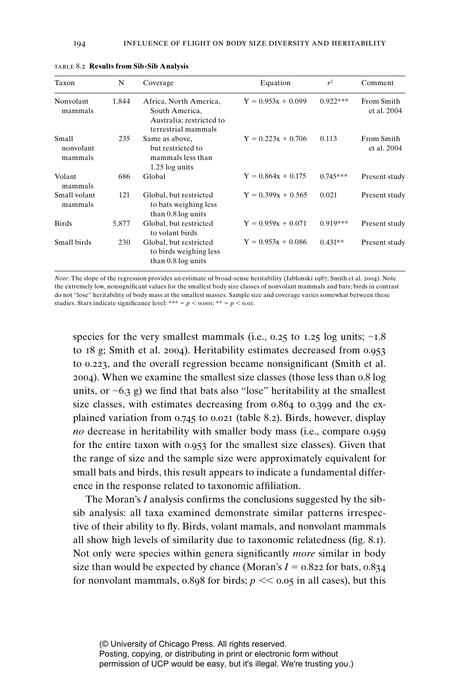| Taxon                         | N     | Coverage                                                                                    | Equation             | $r^2$      | Comment                   |
|-------------------------------|-------|---------------------------------------------------------------------------------------------|----------------------|------------|---------------------------|
| Nonvolant<br>mammals          | 1,844 | Africa, North America,<br>South America,<br>Australia; restricted to<br>terrestrial mammals | $Y = 0.953x + 0.099$ | $0.922***$ | From Smith<br>et al. 2004 |
| Small<br>nonvolant<br>mammals | 235   | Same as above,<br>but restricted to<br>mammals less than<br>1.25 log units                  | $Y = 0.223x + 0.706$ | 0.113      | From Smith<br>et al. 2004 |
| Volant<br>mammals             | 686   | Global                                                                                      | $Y = 0.864x + 0.175$ | $0.745***$ | Present study             |
| Small volant<br>mammals       | 121   | Global, but restricted<br>to bats weighing less<br>than 0.8 log units                       | $Y = 0.399x + 0.565$ | 0.021      | Present study             |
| <b>Birds</b>                  | 5,877 | Global, but restricted<br>to volant birds                                                   | $Y = 0.959x + 0.071$ | $0.919***$ | Present study             |
| Small birds                   | 230   | Global, but restricted<br>to birds weighing less<br>than 0.8 log units                      | $Y = 0.953x + 0.086$ | $0.431**$  | Present study             |

table 8.2 **Results from Sib-Sib Analysis**

*Note*: The slope of the regression provides an estimate of broad-sense heritability (Jablonski 1987; Smith et al. 2004). Note the extremely low, nonsignificant values for the smallest body size classes of nonvolant mammals and bats; birds in contrast do not "lose" heritability of body mass at the smallest masses. Sample size and coverage varies somewhat between these studies. Stars indicate significance level: \*\*\* =  $p < 0.001$ ; \*\* =  $p < 0.01$ .

species for the very smallest mammals (i.e., 0.25 to 1.25 log units; ∼1.8 to 18 g; Smith et al. 2004). Heritability estimates decreased from 0.953 to  $0.223$ , and the overall regression became nonsignificant (Smith et al. 2004). When we examine the smallest size classes (those less than 0.8 log units, or  $~\sim$ 6.3 g) we find that bats also "lose" heritability at the smallest size classes, with estimates decreasing from 0.864 to 0.399 and the explained variation from 0.745 to 0.021 (table 8.2). Birds, however, display *no* decrease in heritability with smaller body mass (i.e., compare 0.959 for the entire taxon with 0.953 for the smallest size classes). Given that the range of size and the sample size were approximately equivalent for small bats and birds, this result appears to indicate a fundamental difference in the response related to taxonomic affiliation.

The Moran's *I* analysis confirms the conclusions suggested by the sibsib analysis: all taxa examined demonstrate similar patterns irrespective of their ability to fly. Birds, volant mamals, and nonvolant mammals all show high levels of similarity due to taxonomic relatedness (fig. 8.1). Not only were species within genera significantly *more* similar in body size than would be expected by chance (Moran's  $I = 0.822$  for bats,  $0.834$ ) for nonvolant mammals,  $0.898$  for birds;  $p \ll 0.05$  in all cases), but this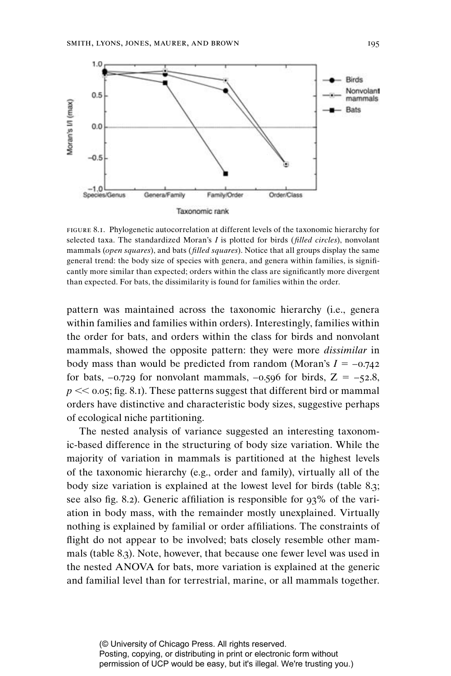

figure 8.1. Phylogenetic autocorrelation at different levels of the taxonomic hierarchy for selected taxa. The standardized Moran's *I* is plotted for birds (*! lled circles*), nonvolant mammals (*open squares*), and bats (*filled squares*). Notice that all groups display the same general trend: the body size of species with genera, and genera within families, is significantly more similar than expected; orders within the class are significantly more divergent than expected. For bats, the dissimilarity is found for families within the order.

 pattern was maintained across the taxonomic hierarchy (i.e., genera within families and families within orders). Interestingly, families within the order for bats, and orders within the class for birds and nonvolant mammals, showed the opposite pattern: they were more *dissimilar* in body mass than would be predicted from random (Moran's  $I = -0.742$ ) for bats,  $-0.729$  for nonvolant mammals,  $-0.596$  for birds,  $Z = -52.8$ ,  $p \ll 0.05$ ; fig. 8.1). These patterns suggest that different bird or mammal orders have distinctive and characteristic body sizes, suggestive perhaps of ecological niche partitioning.

The nested analysis of variance suggested an interesting taxonomic-based difference in the structuring of body size variation. While the majority of variation in mammals is partitioned at the highest levels of the taxonomic hierarchy (e.g., order and family), virtually all of the body size variation is explained at the lowest level for birds (table 8.3; see also fig. 8.2). Generic affiliation is responsible for  $93\%$  of the variation in body mass, with the remainder mostly unexplained. Virtually nothing is explained by familial or order affiliations. The constraints of flight do not appear to be involved; bats closely resemble other mammals (table 8.3). Note, however, that because one fewer level was used in the nested ANOVA for bats, more variation is explained at the generic and familial level than for terrestrial, marine, or all mammals together.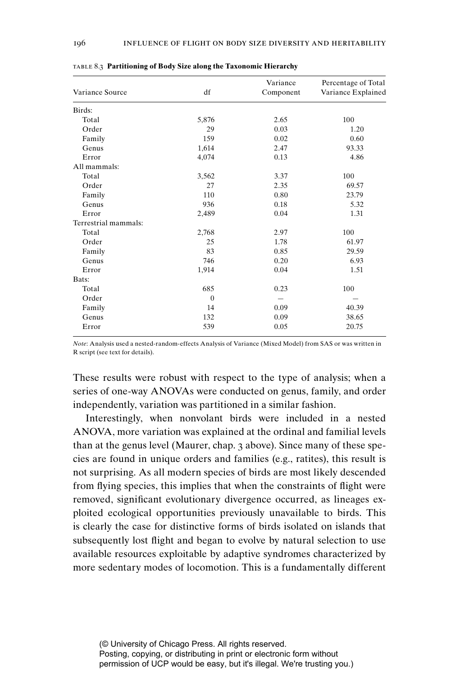| Variance Source      | df       | Variance<br>Component | Percentage of Total<br>Variance Explained |
|----------------------|----------|-----------------------|-------------------------------------------|
| Birds:               |          |                       |                                           |
| Total                | 5,876    | 2.65                  | 100                                       |
| Order                | 29       | 0.03                  | 1.20                                      |
| Family               | 159      | 0.02                  | 0.60                                      |
| Genus                | 1,614    | 2.47                  | 93.33                                     |
| Error                | 4,074    | 0.13                  | 4.86                                      |
| All mammals:         |          |                       |                                           |
| Total                | 3,562    | 3.37                  | 100                                       |
| Order                | 27       | 2.35                  | 69.57                                     |
| Family               | 110      | 0.80                  | 23.79                                     |
| Genus                | 936      | 0.18                  | 5.32                                      |
| Error                | 2,489    | 0.04                  | 1.31                                      |
| Terrestrial mammals: |          |                       |                                           |
| Total                | 2,768    | 2.97                  | 100                                       |
| Order                | 25       | 1.78                  | 61.97                                     |
| Family               | 83       | 0.85                  | 29.59                                     |
| Genus                | 746      | 0.20                  | 6.93                                      |
| Error                | 1,914    | 0.04                  | 1.51                                      |
| Bats:                |          |                       |                                           |
| Total                | 685      | 0.23                  | 100                                       |
| Order                | $\Omega$ |                       |                                           |
| Family               | 14       | 0.09                  | 40.39                                     |
| Genus                | 132      | 0.09                  | 38.65                                     |
| Error                | 539      | 0.05                  | 20.75                                     |

table 8.3 **Partitioning of Body Size along the Taxonomic Hierarchy**

*Note*: Analysis used a nested-random-effects Analysis of Variance (Mixed Model) from SAS or was written in R script (see text for details).

These results were robust with respect to the type of analysis; when a series of one-way ANOVAs were conducted on genus, family, and order independently, variation was partitioned in a similar fashion.

Interestingly, when nonvolant birds were included in a nested ANOVA, more variation was explained at the ordinal and familial levels than at the genus level (Maurer, chap. 3 above). Since many of these species are found in unique orders and families (e.g., ratites), this result is not surprising. As all modern species of birds are most likely descended from flying species, this implies that when the constraints of flight were removed, significant evolutionary divergence occurred, as lineages exploited ecological opportunities previously unavailable to birds. This is clearly the case for distinctive forms of birds isolated on islands that subsequently lost flight and began to evolve by natural selection to use available resources exploitable by adaptive syndromes characterized by more sedentary modes of locomotion. This is a fundamentally different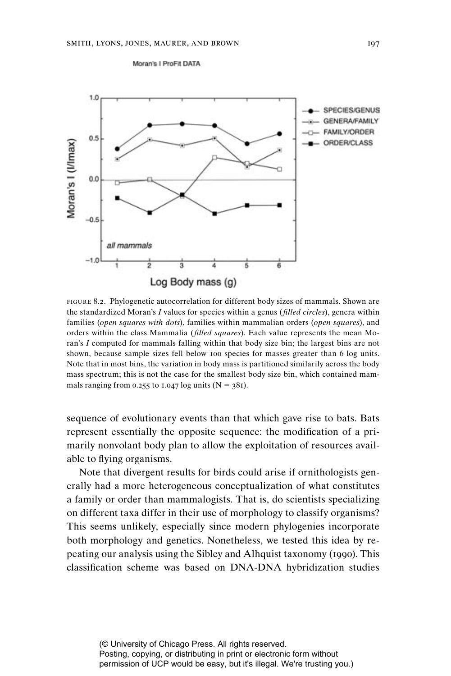Moran's I ProFit DATA



figure 8.2. Phylogenetic autocorrelation for different body sizes of mammals. Shown are the standardized Moran's *I* values for species within a genus (*filled circles*), genera within families (*open squares with dots*), families within mammalian orders (*open squares*), and orders within the class Mammalia (*filled squares*). Each value represents the mean Moran's *I* computed for mammals falling within that body size bin; the largest bins are not shown, because sample sizes fell below 100 species for masses greater than 6 log units. Note that in most bins, the variation in body mass is partitioned similarily across the body mass spectrum; this is not the case for the smallest body size bin, which contained mammals ranging from 0.255 to 1.047 log units  $(N = 381)$ .

sequence of evolutionary events than that which gave rise to bats. Bats represent essentially the opposite sequence: the modification of a primarily nonvolant body plan to allow the exploitation of resources available to flying organisms.

Note that divergent results for birds could arise if ornithologists generally had a more heterogeneous conceptualization of what constitutes a family or order than mammalogists. That is, do scientists specializing on different taxa differ in their use of morphology to classify organisms? This seems unlikely, especially since modern phylogenies incorporate both morphology and genetics. Nonetheless, we tested this idea by repeating our analysis using the Sibley and Alhquist taxonomy (1990). This classification scheme was based on DNA-DNA hybridization studies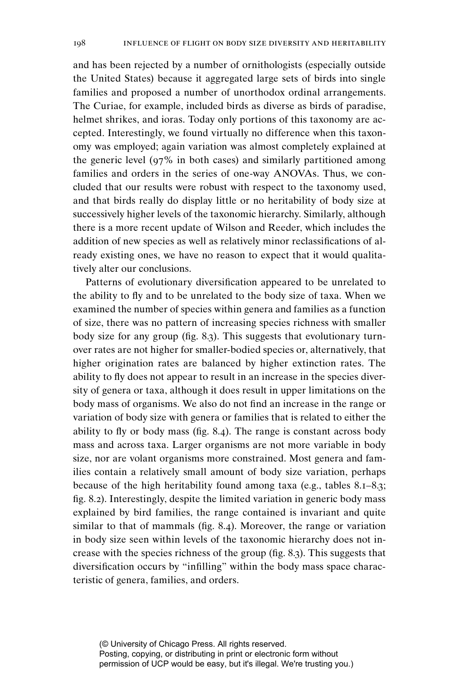and has been rejected by a number of ornithologists (especially outside the United States) because it aggregated large sets of birds into single families and proposed a number of unorthodox ordinal arrangements. The Curiae, for example, included birds as diverse as birds of paradise, helmet shrikes, and ioras. Today only portions of this taxonomy are accepted. Interestingly, we found virtually no difference when this taxonomy was employed; again variation was almost completely explained at the generic level (97% in both cases) and similarly partitioned among families and orders in the series of one-way ANOVAs. Thus, we concluded that our results were robust with respect to the taxonomy used, and that birds really do display little or no heritability of body size at successively higher levels of the taxonomic hierarchy. Similarly, although there is a more recent update of Wilson and Reeder, which includes the addition of new species as well as relatively minor reclassifications of already existing ones, we have no reason to expect that it would qualitatively alter our conclusions.

Patterns of evolutionary diversification appeared to be unrelated to the ability to fly and to be unrelated to the body size of taxa. When we examined the number of species within genera and families as a function of size, there was no pattern of increasing species richness with smaller body size for any group (fig. 8.3). This suggests that evolutionary turnover rates are not higher for smaller-bodied species or, alternatively, that higher origination rates are balanced by higher extinction rates. The ability to fly does not appear to result in an increase in the species diversity of genera or taxa, although it does result in upper limitations on the body mass of organisms. We also do not find an increase in the range or variation of body size with genera or families that is related to either the ability to fly or body mass (fig. 8.4). The range is constant across body mass and across taxa. Larger organisms are not more variable in body size, nor are volant organisms more constrained. Most genera and families contain a relatively small amount of body size variation, perhaps because of the high heritability found among taxa (e.g., tables 8.1–8.3; fig. 8.2). Interestingly, despite the limited variation in generic body mass explained by bird families, the range contained is invariant and quite similar to that of mammals (fig. 8.4). Moreover, the range or variation in body size seen within levels of the taxonomic hierarchy does not increase with the species richness of the group (fig. 8.3). This suggests that diversification occurs by "infilling" within the body mass space characteristic of genera, families, and orders.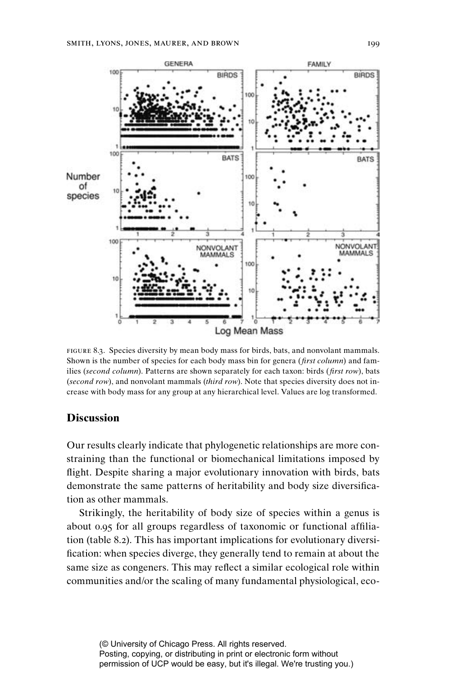

figure 8.3. Species diversity by mean body mass for birds, bats, and nonvolant mammals. Shown is the number of species for each body mass bin for genera (*first column*) and families (*second column*). Patterns are shown separately for each taxon: birds (*first row*), bats (*second row*), and nonvolant mammals (*third row*). Note that species diversity does not increase with body mass for any group at any hierarchical level. Values are log transformed.

# **Discussion**

Our results clearly indicate that phylogenetic relationships are more constraining than the functional or biomechanical limitations imposed by flight. Despite sharing a major evolutionary innovation with birds, bats demonstrate the same patterns of heritability and body size diversification as other mammals.

Strikingly, the heritability of body size of species within a genus is about 0.95 for all groups regardless of taxonomic or functional affiliation (table 8.2). This has important implications for evolutionary diversi fication: when species diverge, they generally tend to remain at about the same size as congeners. This may reflect a similar ecological role within communities and/or the scaling of many fundamental physiological, eco-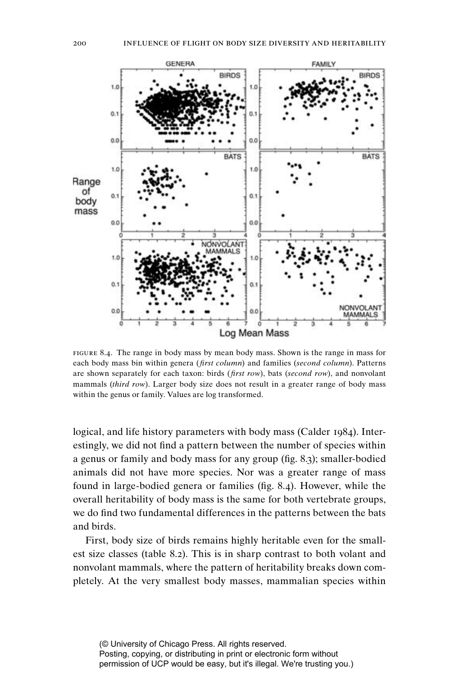

figure 8.4. The range in body mass by mean body mass. Shown is the range in mass for each body mass bin within genera (*first column*) and families (*second column*). Patterns are shown separately for each taxon: birds (*first row*), bats (*second row*), and nonvolant mammals (*third row*). Larger body size does not result in a greater range of body mass within the genus or family. Values are log transformed.

logical, and life history parameters with body mass (Calder 1984). Interestingly, we did not find a pattern between the number of species within a genus or family and body mass for any group (fig. 8.3); smaller-bodied animals did not have more species. Nor was a greater range of mass found in large-bodied genera or families (fig. 8.4). However, while the overall heritability of body mass is the same for both vertebrate groups, we do find two fundamental differences in the patterns between the bats and birds.

First, body size of birds remains highly heritable even for the smallest size classes (table 8.2). This is in sharp contrast to both volant and nonvolant mammals, where the pattern of heritability breaks down completely. At the very smallest body masses, mammalian species within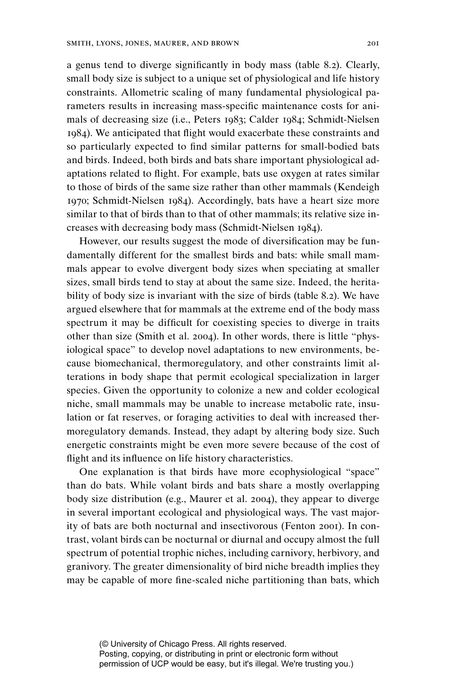a genus tend to diverge significantly in body mass (table 8.2). Clearly, small body size is subject to a unique set of physiological and life history constraints. Allometric scaling of many fundamental physiological parameters results in increasing mass-specific maintenance costs for animals of decreasing size (i.e., Peters 1983; Calder 1984; Schmidt-Nielsen 1984). We anticipated that flight would exacerbate these constraints and so particularly expected to find similar patterns for small-bodied bats and birds. Indeed, both birds and bats share important physiological adaptations related to flight. For example, bats use oxygen at rates similar to those of birds of the same size rather than other mammals (Kendeigh 1970; Schmidt-Nielsen 1984). Accordingly, bats have a heart size more similar to that of birds than to that of other mammals; its relative size increases with decreasing body mass (Schmidt-Nielsen 1984).

However, our results suggest the mode of diversification may be fundamentally different for the smallest birds and bats: while small mammals appear to evolve divergent body sizes when speciating at smaller sizes, small birds tend to stay at about the same size. Indeed, the heritability of body size is invariant with the size of birds (table 8.2). We have argued elsewhere that for mammals at the extreme end of the body mass spectrum it may be difficult for coexisting species to diverge in traits other than size (Smith et al. 2004). In other words, there is little "physiological space" to develop novel adaptations to new environments, because biomechanical, thermoregulatory, and other constraints limit alterations in body shape that permit ecological specialization in larger species. Given the opportunity to colonize a new and colder ecological niche, small mammals may be unable to increase metabolic rate, insulation or fat reserves, or foraging activities to deal with increased thermoregulatory demands. Instead, they adapt by altering body size. Such energetic constraints might be even more severe because of the cost of flight and its influence on life history characteristics.

One explanation is that birds have more ecophysiological "space" than do bats. While volant birds and bats share a mostly overlapping body size distribution (e.g., Maurer et al. 2004), they appear to diverge in several important ecological and physiological ways. The vast majority of bats are both nocturnal and insectivorous (Fenton 2001). In contrast, volant birds can be nocturnal or diurnal and occupy almost the full spectrum of potential trophic niches, including carnivory, herbivory, and granivory. The greater dimensionality of bird niche breadth implies they may be capable of more fine-scaled niche partitioning than bats, which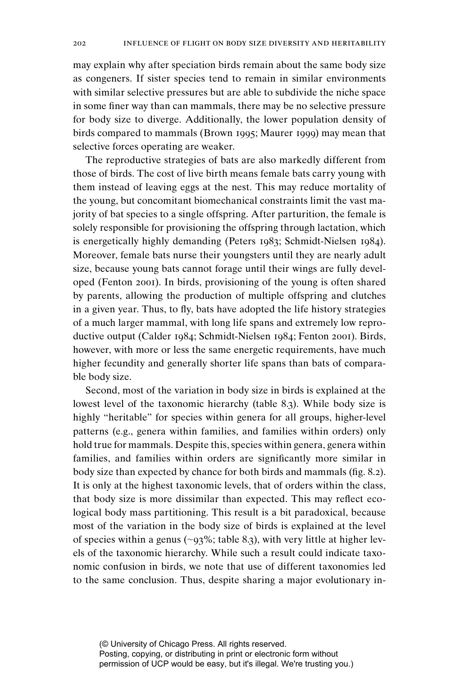may explain why after speciation birds remain about the same body size as congeners. If sister species tend to remain in similar environments with similar selective pressures but are able to subdivide the niche space in some finer way than can mammals, there may be no selective pressure for body size to diverge. Additionally, the lower population density of birds compared to mammals (Brown 1995; Maurer 1999) may mean that selective forces operating are weaker.

The reproductive strategies of bats are also markedly different from those of birds. The cost of live birth means female bats carry young with them instead of leaving eggs at the nest. This may reduce mortality of the young, but concomitant biomechanical constraints limit the vast majority of bat species to a single offspring. After parturition, the female is solely responsible for provisioning the offspring through lactation, which is energetically highly demanding (Peters 1983; Schmidt-Nielsen 1984). Moreover, female bats nurse their youngsters until they are nearly adult size, because young bats cannot forage until their wings are fully developed (Fenton 2001). In birds, provisioning of the young is often shared by parents, allowing the production of multiple offspring and clutches in a given year. Thus, to fly, bats have adopted the life history strategies of a much larger mammal, with long life spans and extremely low reproductive output (Calder 1984; Schmidt-Nielsen 1984; Fenton 2001). Birds, however, with more or less the same energetic requirements, have much higher fecundity and generally shorter life spans than bats of comparable body size.

Second, most of the variation in body size in birds is explained at the lowest level of the taxonomic hierarchy (table 8.3). While body size is highly "heritable" for species within genera for all groups, higher-level patterns (e.g., genera within families, and families within orders) only hold true for mammals. Despite this, species within genera, genera within families, and families within orders are significantly more similar in body size than expected by chance for both birds and mammals (fig. 8.2). It is only at the highest taxonomic levels, that of orders within the class, that body size is more dissimilar than expected. This may reflect ecological body mass partitioning. This result is a bit paradoxical, because most of the variation in the body size of birds is explained at the level of species within a genus (∼93%; table 8.3), with very little at higher levels of the taxonomic hierarchy. While such a result could indicate taxonomic confusion in birds, we note that use of different taxonomies led to the same conclusion. Thus, despite sharing a major evolutionary in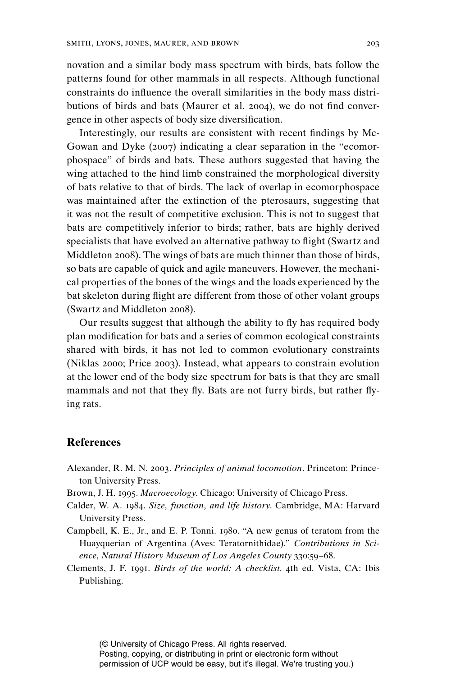novation and a similar body mass spectrum with birds, bats follow the patterns found for other mammals in all respects. Although functional constraints do influence the overall similarities in the body mass distributions of birds and bats (Maurer et al. 2004), we do not find convergence in other aspects of body size diversification.

Interestingly, our results are consistent with recent findings by Mc-Gowan and Dyke (2007) indicating a clear separation in the "ecomorphospace" of birds and bats. These authors suggested that having the wing attached to the hind limb constrained the morphological diversity of bats relative to that of birds. The lack of overlap in ecomorphospace was maintained after the extinction of the pterosaurs, suggesting that it was not the result of competitive exclusion. This is not to suggest that bats are competitively inferior to birds; rather, bats are highly derived specialists that have evolved an alternative pathway to flight (Swartz and Middleton 2008). The wings of bats are much thinner than those of birds, so bats are capable of quick and agile maneuvers. However, the mechanical properties of the bones of the wings and the loads experienced by the bat skeleton during flight are different from those of other volant groups (Swartz and Middleton 2008).

Our results suggest that although the ability to fly has required body plan modification for bats and a series of common ecological constraints shared with birds, it has not led to common evolutionary constraints (Niklas 2000; Price 2003). Instead, what appears to constrain evolution at the lower end of the body size spectrum for bats is that they are small mammals and not that they fly. Bats are not furry birds, but rather flying rats.

#### **References**

- Alexander, R. M. N. 2003. *Principles of animal locomotion*. Princeton: Princeton University Press.
- Brown, J. H. 1995. *Macroecology*. Chicago: University of Chicago Press.
- Calder, W. A. 1984. *Size, function, and life history*. Cambridge, MA: Harvard University Press.
- Campbell, K. E., Jr., and E. P. Tonni. 1980. "A new genus of teratom from the Huayquerian of Argentina (Aves: Teratornithidae)." *Contributions in Science, Natural History Museum of Los Angeles County* 330:59–68.
- Clements, J. F. 1991. *Birds of the world: A checklist*. 4th ed. Vista, CA: Ibis Publishing.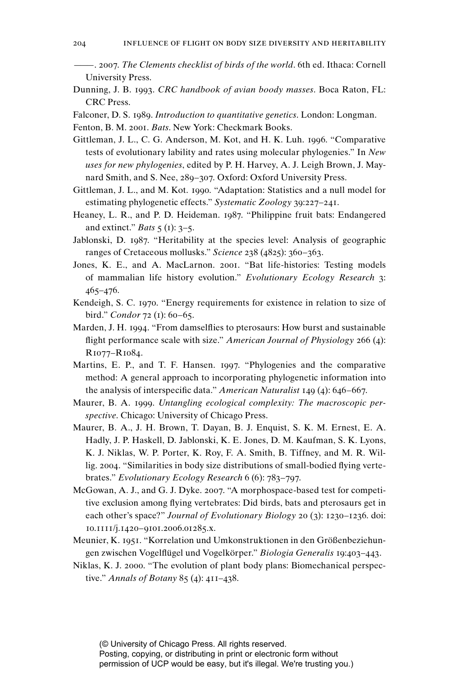- ———. 2007. *The Clements checklist of birds of the world*. 6th ed. Ithaca: Cornell University Press.
- Dunning, J. B. 1993. *CRC handbook of avian boody masses*. Boca Raton, FL: CRC Press.
- Falconer, D. S. 1989. *Introduction to quantitative genetics*. London: Longman.
- Fenton, B. M. 2001. *Bats*. New York: Checkmark Books.
- Gittleman, J. L., C. G. Anderson, M. Kot, and H. K. Luh. 1996. "Comparative tests of evolutionary lability and rates using molecular phylogenies." In *New uses for new phylogenies*, edited by P. H. Harvey, A. J. Leigh Brown, J. Maynard Smith, and S. Nee, 289–307. Oxford: Oxford University Press.
- Gittleman, J. L., and M. Kot. 1990. "Adaptation: Statistics and a null model for estimating phylogenetic effects." *Systematic Zoology* 39:227–241.
- Heaney, L. R., and P. D. Heideman. 1987. "Philippine fruit bats: Endangered and extinct." *Bats* 5 (1): 3–5.
- Jablonski, D. 1987. "Heritability at the species level: Analysis of geographic ranges of Cretaceous mollusks." *Science* 238 (4825): 360–363.
- Jones, K. E., and A. MacLarnon. 2001. "Bat life-histories: Testing models of mammalian life history evolution." *Evolutionary Ecology Research* 3: 465–476.
- Kendeigh, S. C. 1970. "Energy requirements for existence in relation to size of bird." *Condor* 72 (1): 60–65.
- Marden, J. H. 1994. "From damselflies to pterosaurs: How burst and sustainable flight performance scale with size." *American Journal of Physiology* 266 (4): R1077–R1084.
- Martins, E. P., and T. F. Hansen. 1997. "Phylogenies and the comparative method: A general approach to incorporating phylogenetic information into the analysis of interspecific data." *American Naturalist* 149 (4): 646–667.
- Maurer, B. A. 1999. *Untangling ecological complexity: The macroscopic perspective*. Chicago: University of Chicago Press.
- Maurer, B. A., J. H. Brown, T. Dayan, B. J. Enquist, S. K. M. Ernest, E. A. Hadly, J. P. Haskell, D. Jablonski, K. E. Jones, D. M. Kaufman, S. K. Lyons, K. J. Niklas, W. P. Porter, K. Roy, F. A. Smith, B. Tiffney, and M. R. Willig. 2004. "Similarities in body size distributions of small-bodied flying vertebrates." *Evolutionary Ecology Research* 6 (6): 783–797.
- McGowan, A. J., and G. J. Dyke. 2007. "A morphospace-based test for competitive exclusion among flying vertebrates: Did birds, bats and pterosaurs get in each other's space?" *Journal of Evolutionary Biology* 20 (3): 1230–1236. doi: 10.1111/j.1420–9101.2006.01285.x.
- Meunier, K. 1951. "Korrelation und Umkonstruktionen in den Größenbeziehungen zwischen Vogelflügel und Vogelkörper." *Biologia Generalis* 19:403–443.
- Niklas, K. J. 2000. "The evolution of plant body plans: Biomechanical perspective." *Annals of Botany* 85 (4): 411–438.